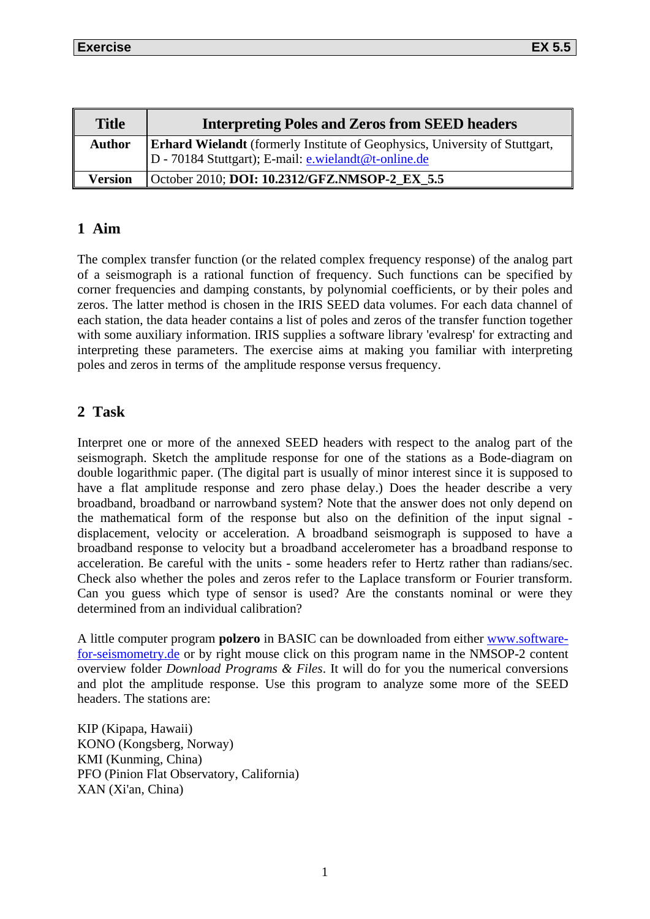| <b>Title</b>   | <b>Interpreting Poles and Zeros from SEED headers</b>                                                                                      |  |  |
|----------------|--------------------------------------------------------------------------------------------------------------------------------------------|--|--|
| Author         | <b>Erhard Wielandt</b> (formerly Institute of Geophysics, University of Stuttgart,<br>D - 70184 Stuttgart); E-mail: e.wielandt@t-online.de |  |  |
| <b>Version</b> | October 2010; DOI: 10.2312/GFZ.NMSOP-2 EX 5.5                                                                                              |  |  |

## **1 Aim**

The complex transfer function (or the related complex frequency response) of the analog part of a seismograph is a rational function of frequency. Such functions can be specified by corner frequencies and damping constants, by polynomial coefficients, or by their poles and zeros. The latter method is chosen in the IRIS SEED data volumes. For each data channel of each station, the data header contains a list of poles and zeros of the transfer function together with some auxiliary information. IRIS supplies a software library 'evalresp' for extracting and interpreting these parameters. The exercise aims at making you familiar with interpreting poles and zeros in terms of the amplitude response versus frequency.

## **2 Task**

Interpret one or more of the annexed SEED headers with respect to the analog part of the seismograph. Sketch the amplitude response for one of the stations as a Bode-diagram on double logarithmic paper. (The digital part is usually of minor interest since it is supposed to have a flat amplitude response and zero phase delay.) Does the header describe a very broadband, broadband or narrowband system? Note that the answer does not only depend on the mathematical form of the response but also on the definition of the input signal displacement, velocity or acceleration. A broadband seismograph is supposed to have a broadband response to velocity but a broadband accelerometer has a broadband response to acceleration. Be careful with the units - some headers refer to Hertz rather than radians/sec. Check also whether the poles and zeros refer to the Laplace transform or Fourier transform. Can you guess which type of sensor is used? Are the constants nominal or were they determined from an individual calibration?

A little computer program **polzero** in BASIC can be downloaded from either [www.software](http://www.software-for-seismometry.de/)[for-seismometry.de](http://www.software-for-seismometry.de/) or by right mouse click on this program name in the NMSOP-2 content overview folder *Download Programs & Files*. It will do for you the numerical conversions and plot the amplitude response. Use this program to analyze some more of the SEED headers. The stations are:

KIP (Kipapa, Hawaii) KONO (Kongsberg, Norway) KMI (Kunming, China) PFO (Pinion Flat Observatory, California) XAN (Xi'an, China)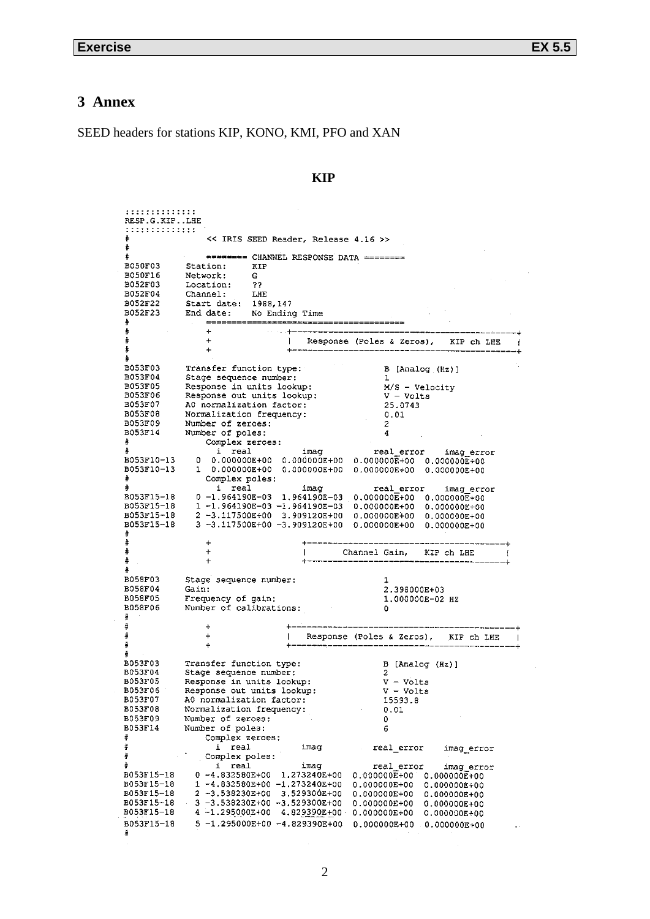# **3 Annex**

SEED headers for stations KIP, KONO, KMI, PFO and XAN

| ,,,,,,,,,,,,,<br>RESP.G.KIP.LHE |                                                          |                                         |                                                                                                                                |                              |
|---------------------------------|----------------------------------------------------------|-----------------------------------------|--------------------------------------------------------------------------------------------------------------------------------|------------------------------|
| ,,,,,,,,,,,,,,                  |                                                          |                                         |                                                                                                                                |                              |
|                                 |                                                          | << IRIS SEED Reader, Release 4.16 >>    |                                                                                                                                |                              |
|                                 |                                                          |                                         |                                                                                                                                |                              |
| B050F03                         | Station:<br>KIP                                          | ======== CHANNEL RESPONSE DATA ======== |                                                                                                                                |                              |
| B050F16                         | Network:<br>G.                                           |                                         |                                                                                                                                |                              |
| <b>B052F03</b>                  | ??<br>Location:                                          |                                         |                                                                                                                                |                              |
| B052F04<br>B052F22              | Channel:<br>LHE                                          |                                         |                                                                                                                                |                              |
| B052F23                         | Start date: 1988,147<br>End date: No Ending Time         |                                         |                                                                                                                                |                              |
| ⋕                               |                                                          | ===============================         |                                                                                                                                |                              |
| ⋕                               | ÷                                                        |                                         |                                                                                                                                |                              |
| #<br>#                          | $+$                                                      |                                         | Response (Poles & Zeros), KIP ch LHE                                                                                           |                              |
|                                 |                                                          |                                         |                                                                                                                                |                              |
| B053F03                         | Transfer function type:                                  |                                         | B [Analog (Hz)]                                                                                                                |                              |
| B053F04                         | Stage sequence number:                                   |                                         | - 1                                                                                                                            |                              |
| B053F05<br>B053F06              | Response in units lookup:<br>Response out units lookup:  |                                         | $M/S - Velocity$<br>V - Volts                                                                                                  |                              |
| B053F07                         | AO normalization factor:                                 |                                         | 25.0743                                                                                                                        |                              |
| B053F08                         | Normalization frequency:                                 |                                         | 0.01                                                                                                                           |                              |
| B053F09                         | Number of zeroes:                                        |                                         | 2                                                                                                                              |                              |
| B053F14<br>#                    | Number of poles:<br>Complex zeroes:                      |                                         | 4                                                                                                                              |                              |
|                                 | i real                                                   | imag                                    | real error imag error                                                                                                          |                              |
| B053F10-13                      | 0                                                        |                                         | $0.000000E+00$ 0.000000E+00 0.000000E+00 0.000000E+00                                                                          |                              |
| B053F10-13                      |                                                          |                                         | 1 0.000000E+00 0.000000E+00 0.000000E+00 0.000000E+00                                                                          |                              |
|                                 | Complex poles:<br>i real                                 | imag                                    | real error                                                                                                                     | imag error                   |
| B053F15-18                      |                                                          |                                         | $0 - 1.964190E - 03$ 1.964190E-03 0.000000E+00 0.000000E+00                                                                    |                              |
| B053F15-18                      |                                                          |                                         | $1 - 1.964190E - 03 - 1.964190E - 03$ 0.000000E+00 0.000000E+00                                                                |                              |
| B053F15-18<br>B053F15-18        |                                                          |                                         | $2 - 3.117500E + 00$ 3.909120E+00 0.000000E+00 0.000000E+00<br>$3 - 3.117500E + 00 - 3.909120E + 00$ 0.000000E+00 0.000000E+00 |                              |
|                                 |                                                          |                                         |                                                                                                                                |                              |
| #                               | ÷                                                        |                                         |                                                                                                                                |                              |
| #                               | $\div$                                                   |                                         | Channel Gain, KIP ch LHE                                                                                                       |                              |
| #                               | $\ddot{}$                                                |                                         |                                                                                                                                |                              |
| B058F03                         | Stage sequence number:                                   |                                         | ı                                                                                                                              |                              |
| B058F04                         | Gain:                                                    |                                         | 2.398000E+03                                                                                                                   |                              |
| B058F05                         | Frequency of gain:                                       |                                         | 1.000000E-02 HZ                                                                                                                |                              |
| B058F06<br>⋕                    | Number of calibrations:                                  |                                         | 0                                                                                                                              |                              |
| #                               | $\ddot{}$                                                |                                         | ---------------------------------                                                                                              |                              |
| #                               | $\ddot{}$                                                |                                         | Response (Poles & Zeros), KIP ch LHE                                                                                           |                              |
| \$                              | $+$                                                      |                                         |                                                                                                                                |                              |
| B053F03                         | Transfer function type:                                  |                                         | B [Analog (Hz)]                                                                                                                |                              |
| B053F04                         | Stage sequence number:                                   |                                         | 2                                                                                                                              |                              |
| B053F05                         | Response in units lookup:                                |                                         | $V - Volts$                                                                                                                    |                              |
| B053F06<br>B053F07              | Response out units lookup:<br>AO normalization factor:   |                                         | $V - Volts$<br>15593.8                                                                                                         |                              |
| B053F08                         | Normalization frequency:                                 |                                         | 0.01                                                                                                                           |                              |
| B053F09                         | Number of zeroes:                                        |                                         | 0                                                                                                                              |                              |
| B053F14                         | Number of poles:                                         |                                         | 6                                                                                                                              |                              |
| #<br>⋕                          | Complex zeroes:                                          |                                         |                                                                                                                                |                              |
| Ħ                               | real<br>i.<br>Complex poles:                             | imac                                    | real error                                                                                                                     | imag error                   |
| ₩                               | i<br>real                                                | imag                                    | real error                                                                                                                     | imag error                   |
| B053F15-18                      | $0 - 4.832580E + 00$                                     | 1,273240E+00                            | 0.000000E+00                                                                                                                   | $0.000000E + 00$             |
| B053F15-18                      | $1 - 4.832580E+00 - 1.273240E+00$                        |                                         | 0.000000E+00                                                                                                                   | $0.000000E+00$               |
| B053F15-18<br>B053F15-18        | 2 -3.538230E+00<br>$3 - 3.538230E + 00 - 3.529300E + 00$ | 3.529300E+00                            | 0.000000E+00<br>0.000000E+00                                                                                                   | 0.000000E+00<br>0.000000E+00 |
| B053F15-18                      | 4 -1.295000E+00                                          | 4.829390E+00                            | 0.000000E+00                                                                                                                   | 0.000000E+00                 |
| B053F15-18                      | 5 -1.295000E+00 -4.829390E+00                            |                                         | 0.000000E+00                                                                                                                   | $0.000000E+00$               |
| #                               |                                                          |                                         |                                                                                                                                |                              |
|                                 |                                                          |                                         |                                                                                                                                |                              |

### **KIP**

 $\mathcal{A}^{\text{max}}_{\text{max}}$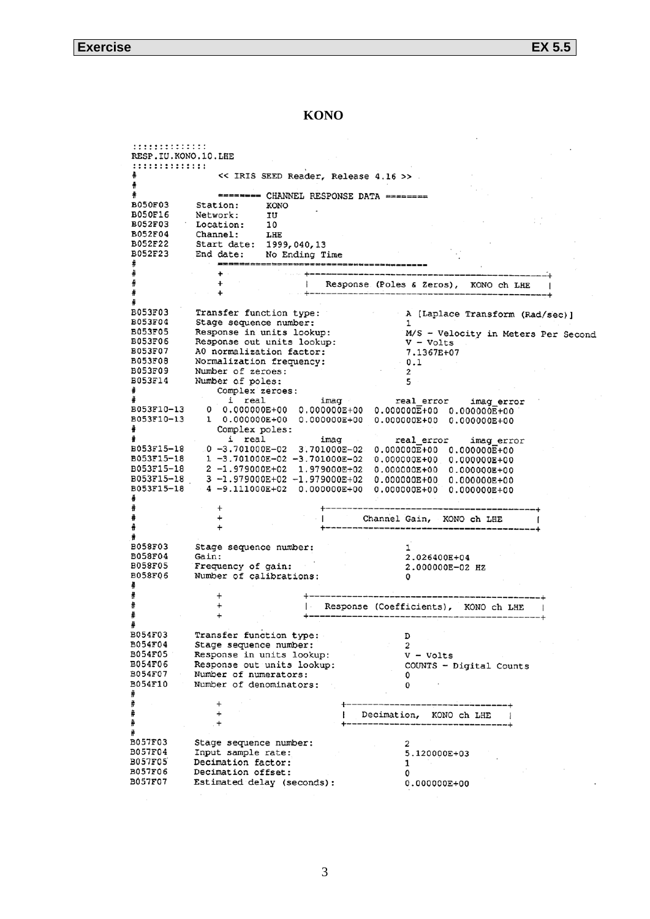### KONO

| ::::::::::::::<br>RESP.IU.KONO.10.LHE |                                                                                                                |  |
|---------------------------------------|----------------------------------------------------------------------------------------------------------------|--|
| : : : : : : : : : : : : : :           |                                                                                                                |  |
|                                       | << IRIS SEED Reader, Release 4.16 >> .                                                                         |  |
|                                       |                                                                                                                |  |
| <b>B050F03</b>                        | Station:<br>KONO                                                                                               |  |
| <b>B050F16</b>                        | Network:<br>IU                                                                                                 |  |
| <b>B052F03</b>                        | Location:<br>10                                                                                                |  |
| B052F04                               | Channel:<br>LHE                                                                                                |  |
| B052F22                               | Start date:<br>1999,040,13                                                                                     |  |
| B052F23                               | No Ending Time<br>End date:                                                                                    |  |
|                                       |                                                                                                                |  |
|                                       | +<br>Response (Poles & Zeros), KONO ch LHE                                                                     |  |
|                                       | ÷                                                                                                              |  |
|                                       |                                                                                                                |  |
| B053F03<br>B053F04                    | Transfer function type:<br>A [Laplace Transform (Rad/sec)]                                                     |  |
| B053F05                               | Stage sequence number:<br>ı<br>Response in units lookup:<br>M/S - Velocity in Meters Per Second                |  |
| B053F06                               | Response out units lookup:<br>$V - Volts$                                                                      |  |
| B053F07                               | A0 normalization factor:<br>7.1367E+07                                                                         |  |
| B053F08                               | Normalization frequency:<br>$-0.1$                                                                             |  |
| <b>B053F09</b>                        | Number of zeroes:<br>2                                                                                         |  |
| B053F14<br>#                          | Number of poles:<br>5<br>Complex zeroes:                                                                       |  |
|                                       | imag_error                                                                                                     |  |
| B053F10-13                            | $i$ real $i$ imag $i$ real error $i$ imag error $0.000000E+00$ 0.000000E+00 0.000000E+00<br>0                  |  |
| B053F10-13                            | $0.000000E+00$ 0.000000E+00                                                                                    |  |
|                                       | Complex poles:                                                                                                 |  |
| B053F15-18                            | i real<br>imaq<br>real error<br>imag error<br>0-3.701000E-02<br>3.701000E-02<br>$0.000000E+00$ 0.000000 $E+00$ |  |
| B053F15-18                            | 1 -3.701000E-02 -3.701000E-02<br>$0.000000E+00$ 0.000000E+00                                                   |  |
| B053F15-18                            | 2 -1.979000E+02<br>1.979000E+02<br>0.000000E+00 0.000000E+00                                                   |  |
| B053F15-18                            | 3 -1.979000E+02 -1.979000E+02<br>$0.000000E+00$<br>0.000000E+00                                                |  |
| B053F15-18                            | 4 -9.111000E+02<br>$0.000000E+00$<br>0.000000E+00<br>0.000000E+00                                              |  |
|                                       |                                                                                                                |  |
|                                       | +<br>Channel Gain, KONO ch LHE                                                                                 |  |
|                                       | ÷                                                                                                              |  |
|                                       |                                                                                                                |  |
| B058F03                               | Stage sequence number:                                                                                         |  |
| B058F04<br>B058F05                    | Gain:<br>2.026400E+04<br>Frequency of gain:                                                                    |  |
| <b>B058F06</b>                        | 2.000000E-02 HZ<br>Number of calibrations:<br>0                                                                |  |
|                                       |                                                                                                                |  |
|                                       |                                                                                                                |  |
|                                       | Response (Coefficients),<br>KONO ch LHE                                                                        |  |
|                                       | $\ddot{}$                                                                                                      |  |
| B054F03                               | D                                                                                                              |  |
| B054F04                               | rransier runction type:<br>Stage sequence number:<br>2                                                         |  |
| B054F05                               | Response in units lookup:<br>$V - Volts$                                                                       |  |
| B054F06                               | Response out units lookup:<br>COUNTS - Digital Counts                                                          |  |
| B054F07                               | Number of numerators:<br>0                                                                                     |  |
| B054F10                               | Number of denominators:<br>0                                                                                   |  |
|                                       | +<br>-------------------                                                                                       |  |
|                                       | $\ddot{}$<br>Decimation, KONO ch LHE                                                                           |  |
|                                       | +                                                                                                              |  |
|                                       |                                                                                                                |  |
| <b>B057F03</b><br>B057F04             | Stage sequence number:<br>2                                                                                    |  |
| <b>B057F05</b>                        | Input sample rate:<br>5.120000E+03<br>Decimation factor:<br>ı                                                  |  |
| <b>B057F06</b>                        | Decimation offset:<br>0                                                                                        |  |
| <b>B057F07</b>                        | Estimated delay (seconds):<br>0.000000E+00                                                                     |  |
|                                       |                                                                                                                |  |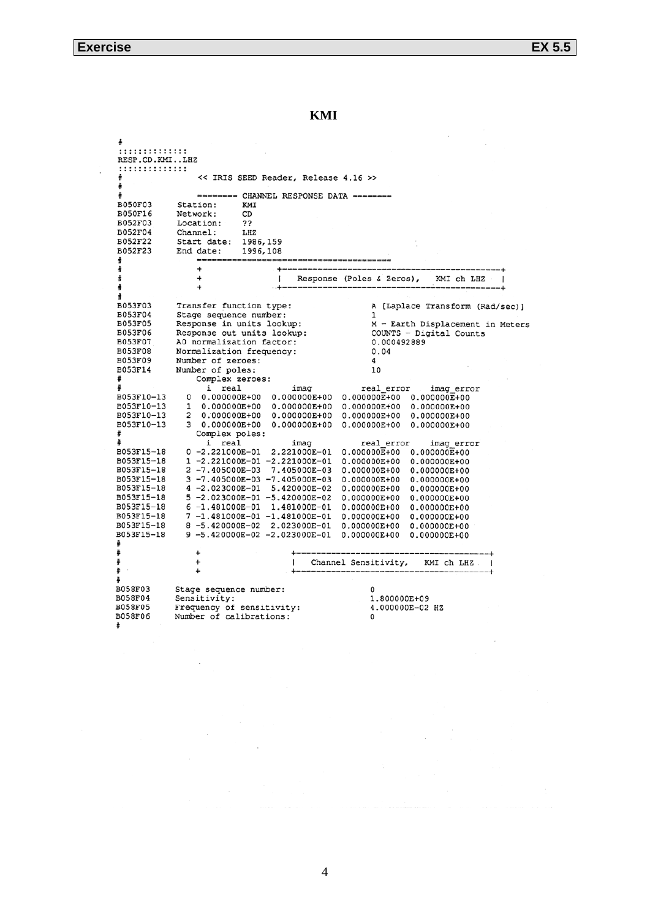**KMI**

```
. . . . . . . . . . . . . .
RESP.CD.KMI..LHZ
..............
                   << IRIS SEED Reader, Release 4.16 >>
\frac{1}{2}======== CHANNEL RESPONSE DATA ========
B050F03
              Station:
                             KMI
B050F16
              Network:
                             CDB052F03
              Location:
                             ??
B052F04
              Channel:
                             _{\rm LHZ}B052F22
              Start date:
                             1986, 159
B052F23
              End date:
                             1996,108
                   DESCRIPTION
                   \ddot{\phantom{0}}ŧ
                   \overline{a}Response (Poles & Zeros),
                                                                           KMI ch LHZ
A
                   \overline{a}B053F03
              Transfer function type:
                                                            A [Laplace Transform (Rad/sec)]
B053F04
              Stage sequence number:
                                                            \mathbf{1}M - Earth Displacement in Meters
BO53F05
              Response in units lookup:
                                                            COUNTS - Digital Counts
BO53FO6
              Response out units lookup:
B053F07
              A0 normalization factor:
                                                            0.000492889
B053F08
              Normalization frequency:
                                                            0.04B053F09
              Number of zeroes:
                                                            4
                                                            10B053F14
              Number of poles:
                  Complex zeroes:
                     i real
                                         imag
                                                         real_error
                                                                          imag error
B053F10-13
                0.0000000E+00 0.000000E+00 0.000000E+00 0.000000E+00
                                    0.000000E+000.000000E+00
                   0.000000E+00BO53F10-13
                \mathbf{1}0.000000E+00
B053F10-13
                                    0.000000E+00 0.000000E+000.000000E + 00\overline{2}0.000000E+00B053F10-13
                   0.000000E+000.000000E+00 0.000000E+000.000000E+00\mathbf{3}Complex poles:
                i real i imag<br>0 -2.221000E-01 2.221000E-01
                                                         real_error
                                                                          imag_error
B053F15-18
                                                     0.000000E+00 0.000000E+001 - 2.221000E - 01 - 2.221000E - 01<br>
2 - 7.405000E - 03<br>
7.405000E - 030.000000E+000.000000E+00B053F15-18
B053F15-18
                                                     0.000000E+000.000000E+00B053F15-18
                3 - 7.405000E - 03 - 7.405000E - 030.000000E+000.000000E+00B053F15-18
                -2.023000E-01 5.420000E-02
                                                     0.000000E + 000.000000E + 00B053F15-18
                5 -2.023000E - 01 -5.420000E - 020.000000E + 000.000000E+00B053F15-18
                6 -1.481000E-01 1.481000E-01
                                                     0.000000E + 000.000000E + 007 -1.481000E -01 -1.481000E -01<br>8 -5.420000E-02 2.023000E-01
B053F15-18
                                                     0.000000E+00
                                                                     0.000000E+00B053F15-18
                                                     0.000000E + 000.000000E+00
                9 - 5.420000E - 02 - 2.023000E - 01B053F15-18
                                                    0.000000E + 000.000000E + 00Channel Sensitivity,
                  \overline{1}KMI ch LHZ
                  \overline{1}B058F03
              Stage sequence number:
                                                            \OmegaSensitivity:
B058F04
                                                           1.800000E+09
             Frequency of sensitivity:<br>Number of calibrations:
B058F05
                                                            4.000000E-02 HZ
B058F06
                                                            \overline{0}\ddot{*}
```
4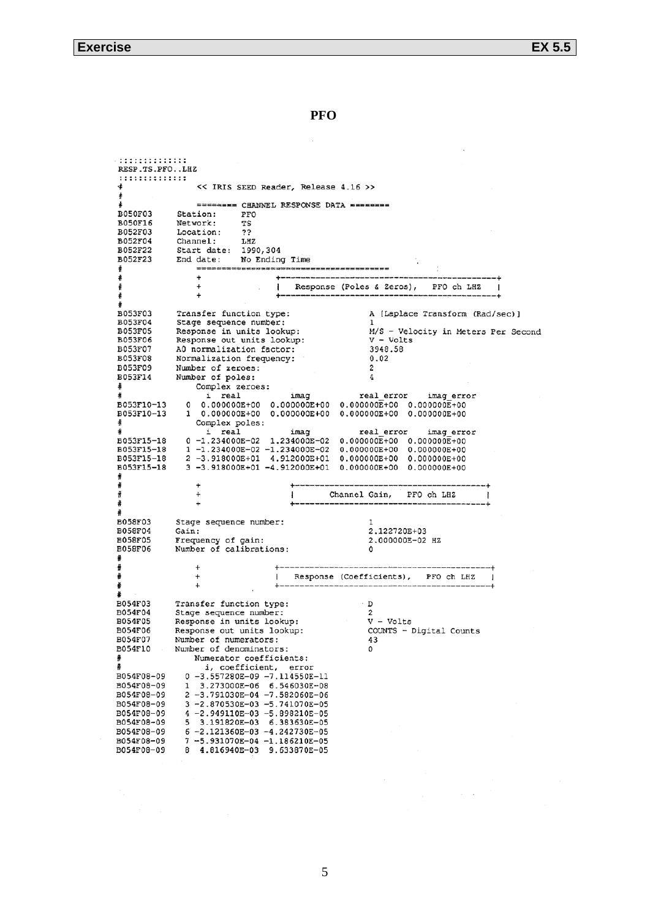**PFO**

```
::::::::::::::
RESP.TS.PFO..LHZ
::::::::::::::
                  << IRIS SEED Reader, Release 4.16 >>
                  ======== CHANNEL RESPONSE DATA ========
B050F03
             Station:
                            PFO
B050F16
             Network:
                            TS
B052F03
             Location:
                            \overline{?}B052F04
             Channel:
                            LHZ
B052F22
             Start date:
                            1990,304
B052F23
             End date:
                            No Ending Time
                  ==================
                                       \ddot{}\ddot{+}Response (Poles & Zeros),
                                                                        PFO ch LHZ
                                    -
                  \ddot{}£
ŧ
B053F03
             Transfer function type:
                                                         A [Laplace Transform (Rad/sec)]
B053F04
             Stage sequence number:
B053F05
             Response in units lookup:
                                                         M/S - Velocity in Meters Per Second
B053F06
             Response out units lookup:
                                                          V - VoltsB053F07
                                                          3948.58
             A0 normalization factor:
B053F08
             Normalization frequency:
                                                          0.02B053F09
             Number of zeroes:
                                                          \overline{2}Number of poles:
B053F14
                                                          4
                  Complex zeroes:
                    i real
                                       imag
                                                       real error
                                                                       imag error
                   B053F10-13
               \OmegaB053F10-13
               \mathbf{1}Complex poles:
                                                                       imag_error
                    i real
                                        imag
                                                       real error
B053F15-18
               0 -1.234000E-02 1.234000E-02
                                                  0.000000E+00 0.000000E+001 - 1.234000E - 02 - 1.234000E - 02<br>2 -3.918000E+01 4.912000E+01
B053F15-18
                                                  0.000000E+000.000000E+00
B053F15-18
                                                  0.000000E+000.000000E+00
B053F15-18
               3 - 3.918000E + 01 - 4.912000E + 01 0.00000E + 00 0.00000E + 00\overline{1}Channel Gain,
푞
                  \ddot{}PFO ch LHZ
A
                  \rightarrow┹
B058F03
             Stage sequence number:
                                                          \mathbf{I}2.122720E+03
B058F04
             Gain:
                                                         2.000000E-02 HZ
B058F05
             Frequency of gain:<br>Number of calibrations:
B058F06
                                                         \Omegaŧ
                  \ddot{}| Response (Coefficients), PFO ch LHZ
                                                                                     \overline{1}4
B054F03
             Transfer function type:
                                                         \overline{D}B054F04
             Stage sequence number:
                                                         \overline{c}\bar{v} - volts
B054F05
             Response in units lookup:
             Response out units lookup:
B054F06
                                                         COUNTS - Digital Counts
B054F07
             Number of numerators:
                                                         43
B054F10
             Number of denominators:
                                                         \circNumerator coefficients:
                    i, coefficient, error
               0 -3.557280E-09 -7.114550E-11<br>1 3.273000E-06 6.546030E-08
B054F08-09
B054F08-09
               2 -3.791030E - 04 -7.582060E - 06B054F08-09
               3 -2.870530E-03 -5.741070E-05
B054F08-09
               4 - 2.949110E - 03 - 5.898210E - 05<br>5 3.191820E-03 6.383630E-05
B054F08-09
B054F08-09
B054F08-09
               6 - 2.121360E - 03 - 4.242730E - 05B054F08-09
               7-5.931070E-04-1.186210E-05
B054F08-09
               8 4.816940E-03 9.633870E-05
```
 $\sim$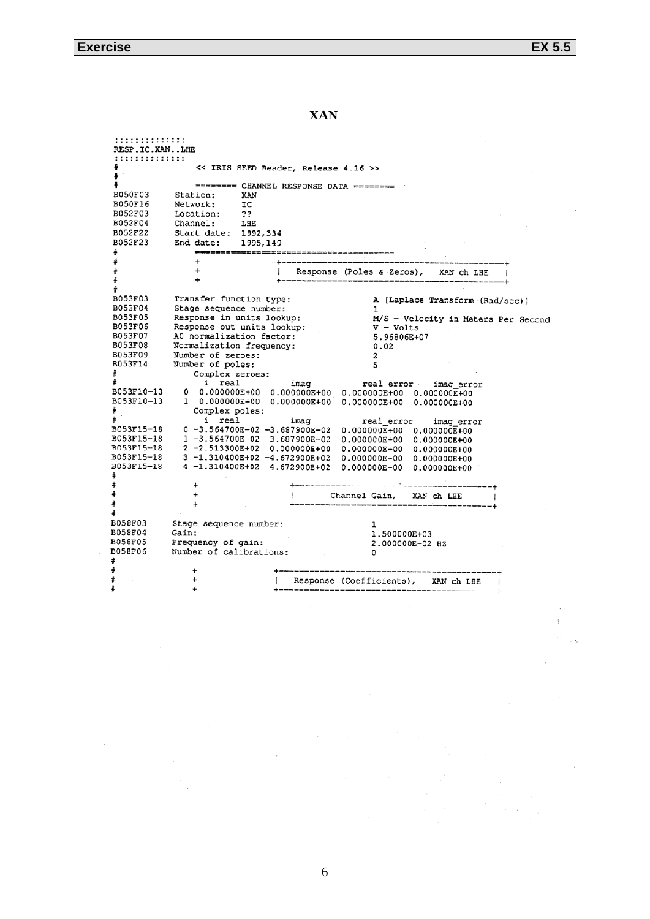**XAN** 

:::::::::::::: RESP.IC.XAN..LHE :::::::::::::: << IRIS SEED Reader, Release 4.16 >>  $\ddot{\bullet}$  $\ddot{\ast}$ ------- CHANNEL RESPONSE DATA --------**B050F03** Station: XAN **BO50F16**  ${\tt IC}$ Network: **B052F03** Location: っっ B052F04 Channel: LHE B052F22 Start date: 1992,334 B052F23 End date: 1995,149 -------------------- $\overline{a}$  $\ddot{}$  $\mathbf{I}$ Response (Poles & Zeros), XAN ch LHE  $\ddot{}$ B053F03 Transfer function type: A [Laplace Transform (Rad/sec)] **B053F04** Stage sequence number: -1 **B053F05** M/S - Velocity in Meters Per Second Response in units lookup:  $V - Volts$ **B053F06** Response out units lookup: **BO53F07** 5.96806E+07 AO normalization factor: Normalization frequency: **BO53FO8**  $0.02$ B053F09 Number of zeroes:  $\overline{2}$ B053F14 Number of poles: 5 Complex zeroes: A i real imag real error imag error B053F10-13 B053F10-13 Complex poles: ⋕ i real imag real error imag\_error B053F15-18  $0 - 3.564700E - 02 - 3.687900E - 02$  $0.000000E+00$  $0.000000E+00$ B053F15-18  $1 - 3.564700E - 02$  3.687900E-02  $0.000000E + 00$ 0.000000E+00 B053F15-18  $2 - 2.513300E + 02$  0.000000E+00  $0.000000E+00$  $0.000000E + 00$ B053F15-18  $3 - 1.310400E + 02 - 4.672900E + 02$ 0.000000E+00  $0.000000E + 00$ B053F15-18 4 -1.310400E+02 4.672900E+02 0.000000E+00 0.000000E+00  $\ddot{}$  $\ddot{}$ Channel Gain, XAN ch LHE  $\ddot{}$ ┹ **B058F03** Stage sequence number:  $\mathbf{1}$ B058F04 Gain: 1.500000E+03 **B058F05** Frequency of gain: 2.000000E-02 HZ B058F06 Number of calibrations:  $\pmb{0}$  $\ddot{}$ Response (Coefficients), J. XAN ch LHE